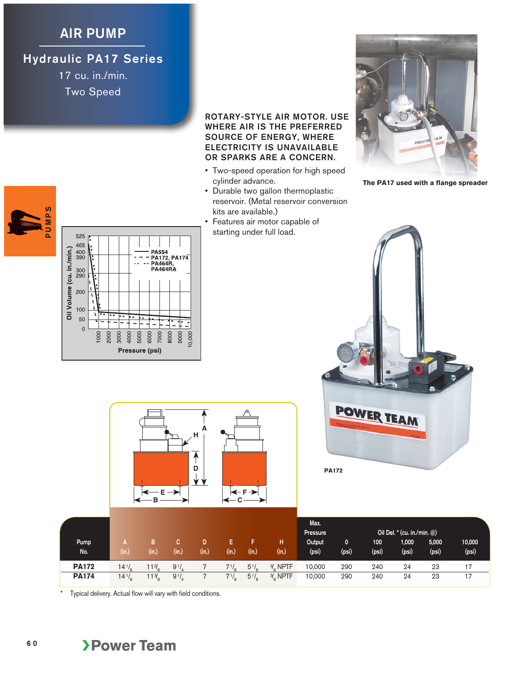## **AIR PUMP**

## **Hydraulic PA17 Series**

17 cu. in./min. Two Speed

## PUMPS **PUMPS**



## **ROTARY-STYLE AIR MOTOR. USE WHERE AIR IS THE PREFERRED SOURCE OF ENERGY, WHERE ELECTRICITY IS UNAVAILABLE OR SPARKS ARE A CONCERN.**

- Two-speed operation for high speed cylinder advance.
- Durable two gallon thermoplastic reservoir. (Metal reservoir conversion kits are available.)
- Features air motor capable of starting under full load.



**The PA17 used with a flange spreader**





| Pump<br>No.  | (in.)      | (in.)           | (in.)     | (in.) | в<br>(in.) | (in.)            | (in.)                | Max.<br>Pressure<br>Output<br>(psi) | 0<br>(psi) | 100<br>(psi) | Oil Del. * (cu. in./min. @)<br>1,000<br>(psi) | 5,000<br>(psi) | 10,000<br>(psi) |
|--------------|------------|-----------------|-----------|-------|------------|------------------|----------------------|-------------------------------------|------------|--------------|-----------------------------------------------|----------------|-----------------|
| <b>PA172</b> | $14^{1/3}$ | 13 <sub>o</sub> | 91/       |       | $7^{1/6}$  | $5^{1}/_{\circ}$ | $\frac{3}{2}$ , NPTF | 10,000                              | 290        | 240          | 24                                            | 23             | 17              |
| <b>PA174</b> | $14^{1/8}$ | $1\frac{3}{2}$  | $9^{1/2}$ |       | $7^{1/8}$  | $5\frac{1}{8}$   | $\frac{3}{6}$ NPTF   | 10,000                              | 290        | 240          | 24                                            | 23             | 17              |

Typical delivery. Actual flow will vary with field conditions.